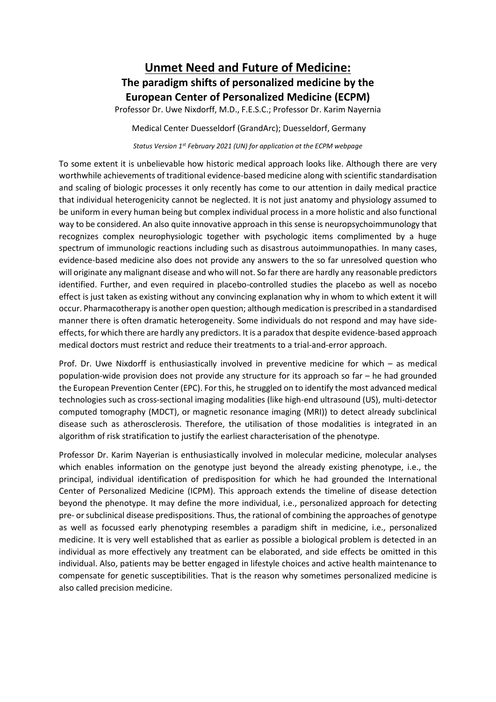## **Unmet Need and Future of Medicine: The paradigm shifts of personalized medicine by the European Center of Personalized Medicine (ECPM)**

Professor Dr. Uwe Nixdorff, M.D., F.E.S.C.; Professor Dr. Karim Nayernia

Medical Center Duesseldorf (GrandArc); Duesseldorf, Germany

*Status Version 1st February 2021 (UN) for application at the ECPM webpage*

To some extent it is unbelievable how historic medical approach looks like. Although there are very worthwhile achievements of traditional evidence-based medicine along with scientific standardisation and scaling of biologic processes it only recently has come to our attention in daily medical practice that individual heterogenicity cannot be neglected. It is not just anatomy and physiology assumed to be uniform in every human being but complex individual process in a more holistic and also functional way to be considered. An also quite innovative approach in this sense is neuropsychoimmunology that recognizes complex neurophysiologic together with psychologic items complimented by a huge spectrum of immunologic reactions including such as disastrous autoimmunopathies. In many cases, evidence-based medicine also does not provide any answers to the so far unresolved question who will originate any malignant disease and who will not. So far there are hardly any reasonable predictors identified. Further, and even required in placebo-controlled studies the placebo as well as nocebo effect is just taken as existing without any convincing explanation why in whom to which extent it will occur. Pharmacotherapy is another open question; although medication is prescribed in a standardised manner there is often dramatic heterogeneity. Some individuals do not respond and may have sideeffects, for which there are hardly any predictors. It is a paradox that despite evidence-based approach medical doctors must restrict and reduce their treatments to a trial-and-error approach.

Prof. Dr. Uwe Nixdorff is enthusiastically involved in preventive medicine for which – as medical population-wide provision does not provide any structure for its approach so far – he had grounded the European Prevention Center (EPC). For this, he struggled on to identify the most advanced medical technologies such as cross-sectional imaging modalities (like high-end ultrasound (US), multi-detector computed tomography (MDCT), or magnetic resonance imaging (MRI)) to detect already subclinical disease such as atherosclerosis. Therefore, the utilisation of those modalities is integrated in an algorithm of risk stratification to justify the earliest characterisation of the phenotype.

Professor Dr. Karim Nayerian is enthusiastically involved in molecular medicine, molecular analyses which enables information on the genotype just beyond the already existing phenotype, i.e., the principal, individual identification of predisposition for which he had grounded the International Center of Personalized Medicine (ICPM). This approach extends the timeline of disease detection beyond the phenotype. It may define the more individual, i.e., personalized approach for detecting pre- or subclinical disease predispositions. Thus, the rational of combining the approaches of genotype as well as focussed early phenotyping resembles a paradigm shift in medicine, i.e., personalized medicine. It is very well established that as earlier as possible a biological problem is detected in an individual as more effectively any treatment can be elaborated, and side effects be omitted in this individual. Also, patients may be better engaged in lifestyle choices and active health maintenance to compensate for genetic susceptibilities. That is the reason why sometimes personalized medicine is also called precision medicine.